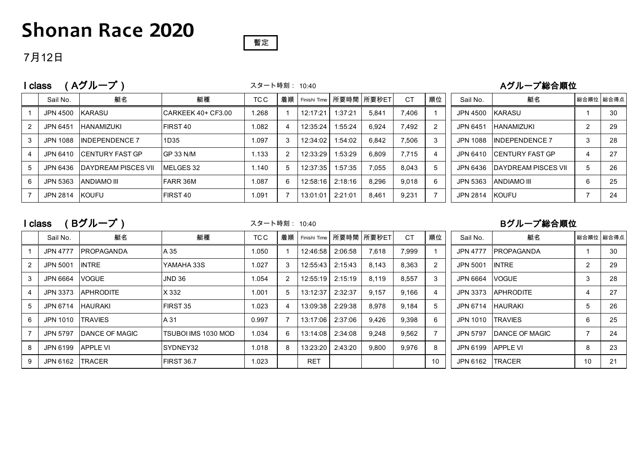## **Shonan Race 2020**



#### 7月12日

|   | class           | Aグループ)                       | スタート時刻: 10:40       |       |    |          |         | Aグループ総合順位               |           |    |          |                         |   |           |
|---|-----------------|------------------------------|---------------------|-------|----|----------|---------|-------------------------|-----------|----|----------|-------------------------|---|-----------|
|   | Sail No.        | 艇名                           | 艇種                  | TC C  | 着順 |          |         | Finishi Time 所要時間 所要秒ET | <b>CT</b> | 順位 | Sail No. | 艇名                      |   | 総合順位 総合得点 |
|   | JPN 4500 KARASU |                              | CARKEEK 40+ CF3.00  | 1.268 |    | 12:17:21 | 1:37:21 | 5.841                   | 7.406     |    | JPN 4500 | <b>IKARASU</b>          |   | 30        |
|   | JPN 6451        | <b>HANAMIZUKI</b>            | FIRST <sub>40</sub> | 1.082 |    | 12:35:24 | 1:55:24 | 6.924                   | 7,492     |    | JPN 6451 | <b>HANAMIZUKI</b>       |   | 29        |
|   | JPN 1088        | <b>INDEPENDENCE 7</b>        | 1D35                | 1.097 |    | 12:34:02 | 1:54:02 | 6.842                   | 7.506     | 3  | JPN 1088 | <b>INDEPENDENCE 7</b>   |   | 28        |
|   |                 | JPN 6410 CENTURY FAST GP     | <b>GP 33 N/M</b>    | 1.133 |    | 12:33:29 | 1:53:29 | 6.809                   | 7.715     | 4  | JPN 6410 | <b>ICENTURY FAST GP</b> |   | 27        |
|   |                 | JPN 6436 DAYDREAM PISCES VII | MELGES 32           | 1.140 | 5  | 12:37:35 | 1:57:35 | 7.055                   | 8.043     | 5  | JPN 6436 | IDAYDREAM PISCES VII    | 5 | 26        |
| 6 | JPN 5363        | IANDIAMO III                 | <b>FARR 36M</b>     | 1.087 | 6  | 12:58:16 | 2:18:16 | 8,296                   | 9.018     | 6  | JPN 5363 | <b>ANDIAMO III</b>      | 6 | 25        |
|   | JPN 2814 KOUFU  |                              | FIRST <sub>40</sub> | 1.091 |    | 13:01:01 | 2:21:01 | 8,461                   | 9,231     |    | JPN 2814 | <b>KOUFU</b>            |   | 24        |

I class (Bグループ) スタート時刻: 10:40 Bグループ総合順位

スタート時刻: 10:40

|   | Sail No.        | 艇名                     | 艇種                  | TC C  | 着順 | Finishi Time |         | 所要時間 所要秒ET | <b>CT</b> | 順位 | Sail No.        | 艇名                     | 総合順位 総合得点      |    |
|---|-----------------|------------------------|---------------------|-------|----|--------------|---------|------------|-----------|----|-----------------|------------------------|----------------|----|
|   | <b>JPN 4777</b> | <b>IPROPAGANDA</b>     | A 35                | 1.050 |    | 12:46:58     | 2:06:58 | 7,618      | 7.999     |    | <b>JPN 4777</b> | <b>PROPAGANDA</b>      |                | 30 |
|   | <b>JPN 5001</b> | INTRE                  | YAMAHA 33S          | 1.027 |    | 12:55:43     | 2:15:43 | 8,143      | 8,363     | 2  | <b>JPN 5001</b> | <b>INTRE</b>           | $\overline{2}$ | 29 |
|   | JPN 6664        | <b>VOGUE</b>           | JND 36              | 1.054 |    | 12:55:19     | 2:15:19 | 8,119      | 8,557     | 3  | JPN 6664        | <b>VOGUE</b>           | 3              | 28 |
|   | <b>JPN 3373</b> | <b>APHRODITE</b>       | <b>X</b> 332        | 1.001 |    | 13:12:37     | 2:32:37 | 9,157      | 9.166     |    | JPN 3373        | <b>APHRODITE</b>       | 4              | 27 |
|   | JPN 6714        | <b>HAURAKI</b>         | <b>IFIRST 35</b>    | 1.023 |    | 13:09:38     | 2:29:38 | 8,978      | 9.184     | 5  | JPN 6714        | <b>HAURAKI</b>         | 5              | 26 |
| 6 | JPN 1010        | <b>TRAVIES</b>         | A 31                | 0.997 |    | 13:17:06     | 2:37:06 | 9,426      | 9,398     | 6  | JPN 1010        | <b>TRAVIES</b>         | 6              | 25 |
|   | JPN 5797        | <b>IDANCE OF MAGIC</b> | TSUBOI IMS 1030 MOD | 1.034 | 6  | 13:14:08     | 2:34:08 | 9,248      | 9,562     |    | JPN 5797        | <b>IDANCE OF MAGIC</b> |                | 24 |
|   | JPN 6199        | <b>APPLE VI</b>        | SYDNEY32            | 1.018 | 8  | 13:23:20     | 2:43:20 | 9,800      | 9,976     | 8  | JPN 6199        | <b>APPLE VI</b>        | 8              | 23 |
| 9 | JPN 6162        | <b>TRACER</b>          | <b>IFIRST 36.7</b>  | 1.023 |    | <b>RET</b>   |         |            |           | 10 | JPN 6162        | <b>TRACER</b>          | 10             | 21 |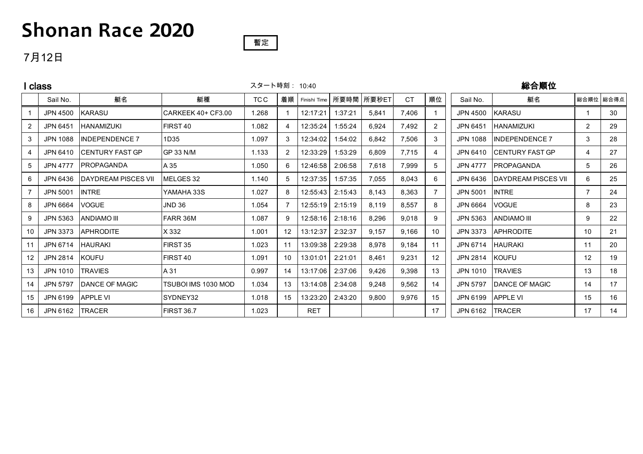## **Shonan Race 2020**

#### 暫定

### 7月12日

| class          |                   |                        |                     |       | スタート時刻: 10:40 |              |         |       |           | 総合順位           |                 |                        |                |           |
|----------------|-------------------|------------------------|---------------------|-------|---------------|--------------|---------|-------|-----------|----------------|-----------------|------------------------|----------------|-----------|
|                | Sail No.          | 艇名                     | 艇種                  | TC C  | 着順            | Finishi Time | 所要時間    | 所要秒ET | <b>CT</b> | 順位             | Sail No.        | 艇名                     |                | 総合順位 総合得点 |
|                | <b>JPN 4500</b>   | <b>KARASU</b>          | CARKEEK 40+ CF3.00  | 1.268 |               | 12:17:21     | 1:37:21 | 5,841 | 7.406     |                | JPN 4500        | <b>KARASU</b>          |                | 30        |
| 2              | <b>JPN 6451</b>   | <b>HANAMIZUKI</b>      | FIRST 40            | 1.082 |               | 12:35:24     | 1:55:24 | 6,924 | 7,492     | $\overline{2}$ | <b>JPN 6451</b> | <b>HANAMIZUKI</b>      | $\overline{2}$ | 29        |
| 3              | JPN 1088          | <b>INDEPENDENCE 7</b>  | 1D35                | 1.097 | 3             | 12:34:02     | 1:54:02 | 6,842 | 7,506     | 3              | JPN 1088        | <b>INDEPENDENCE 7</b>  | 3              | 28        |
| 4              | JPN 6410          | ICENTURY FAST GP       | <b>GP 33 N/M</b>    | 1.133 | 2             | 12:33:29     | 1:53:29 | 6,809 | 7,715     | 4              | JPN 6410        | CENTURY FAST GP        | 4              | 27        |
| $\overline{5}$ | <b>JPN 4777</b>   | <b>PROPAGANDA</b>      | A 35                | 1.050 | 6             | 12:46:58     | 2:06:58 | 7,618 | 7,999     | 5              | <b>JPN 4777</b> | <b>PROPAGANDA</b>      | 5              | 26        |
| 6              | JPN 6436          | IDAYDREAM PISCES VII   | MELGES 32           | 1.140 | 5.            | 12:37:35     | 1:57:35 | 7,055 | 8,043     | 6              | JPN 6436        | IDAYDREAM PISCES VII   | 6              | 25        |
|                | <b>JPN 5001</b>   | <b>INTRE</b>           | YAMAHA 33S          | 1.027 | 8             | 12:55:43     | 2:15:43 | 8,143 | 8,363     | $\overline{7}$ | <b>JPN 5001</b> | <b>INTRE</b>           |                | 24        |
| 8              | <b>JPN 6664</b>   | <b>VOGUE</b>           | <b>JND 36</b>       | 1.054 |               | 12:55:19     | 2:15:19 | 8,119 | 8,557     | 8              | JPN 6664        | <b>VOGUE</b>           | 8              | 23        |
| 9              | JPN 5363          | <b>ANDIAMO III</b>     | FARR 36M            | 1.087 | 9             | 12:58:16     | 2:18:16 | 8,296 | 9.018     | 9              | JPN 5363        | <b>ANDIAMO III</b>     | 9              | 22        |
| 10             | JPN 3373          | <b>APHRODITE</b>       | X 332               | 1.001 | 12            | 13:12:37     | 2:32:37 | 9,157 | 9,166     | 10             | <b>JPN 3373</b> | <b>APHRODITE</b>       | 10             | 21        |
| 11             | JPN 6714          | <b>HAURAKI</b>         | FIRST 35            | 1.023 | 11            | 13:09:38     | 2:29:38 | 8,978 | 9,184     | 11             | JPN 6714        | <b>HAURAKI</b>         | 11             | 20        |
| 12             | JPN 2814          | <b>KOUFU</b>           | FIRST <sub>40</sub> | 1.091 | 10            | 13:01:01     | 2:21:01 | 8,461 | 9,231     | 12             | JPN 2814        | <b>KOUFU</b>           | 12             | 19        |
| 13             | JPN 1010          | <b>ITRAVIES</b>        | A 31                | 0.997 | 14            | 13:17:06     | 2:37:06 | 9,426 | 9,398     | 13             | JPN 1010        | <b>TRAVIES</b>         | 13             | 18        |
| 14             | JPN 5797          | <b>IDANCE OF MAGIC</b> | TSUBOI IMS 1030 MOD | 1.034 | 13            | 13:14:08     | 2:34:08 | 9,248 | 9,562     | 14             | <b>JPN 5797</b> | <b>IDANCE OF MAGIC</b> | 14             | 17        |
| 15             | JPN 6199          | <b>APPLE VI</b>        | SYDNEY32            | 1.018 | 15            | 13:23:20     | 2:43:20 | 9,800 | 9,976     | 15             | JPN 6199        | <b>APPLE VI</b>        | 15             | 16        |
| 16             | JPN 6162   TRACER |                        | <b>FIRST 36.7</b>   | 1.023 |               | <b>RET</b>   |         |       |           | 17             | JPN 6162        | <b>TRACER</b>          | 17             | 14        |